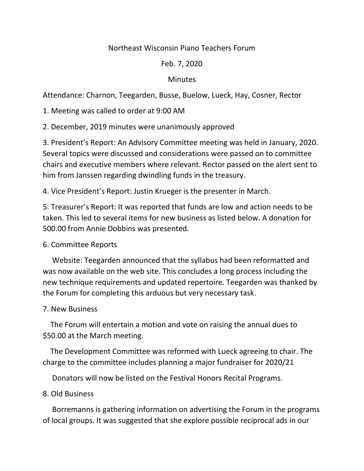# Northeast Wisconsin Piano Teachers Forum

# Feb. 7, 2020

### **Minutes**

Attendance: Charnon, Teegarden, Busse, Buelow, Lueck, Hay, Cosner, Rector

1. Meeting was called to order at 9:00 AM

2. December, 2019 minutes were unanimously approved

3. President's Report: An Advisory Committee meeting was held in January, 2020. Several topics were discussed and considerations were passed on to committee chairs and executive members where relevant. Rector passed on the alert sent to him from Janssen regarding dwindling funds in the treasury.

4. Vice President's Report: Justin Krueger is the presenter in March.

5. Treasurer's Report: It was reported that funds are low and action needs to be taken. This led to several items for new business as listed below. A donation for 500.00 from Annie Dobbins was presented.

### 6. Committee Reports

 Website: Teegarden announced that the syllabus had been reformatted and was now available on the web site. This concludes a long process including the new technique requirements and updated repertoire. Teegarden was thanked by the Forum for completing this arduous but very necessary task.

### 7. New Business

 The Forum will entertain a motion and vote on raising the annual dues to \$50.00 at the March meeting.

 The Development Committee was reformed with Lueck agreeing to chair. The charge to the committee includes planning a major fundraiser for 2020/21

Donators will now be listed on the Festival Honors Recital Programs.

### 8. Old Business

 Borremanns is gathering information on advertising the Forum in the programs of local groups. It was suggested that she explore possible reciprocal ads in our